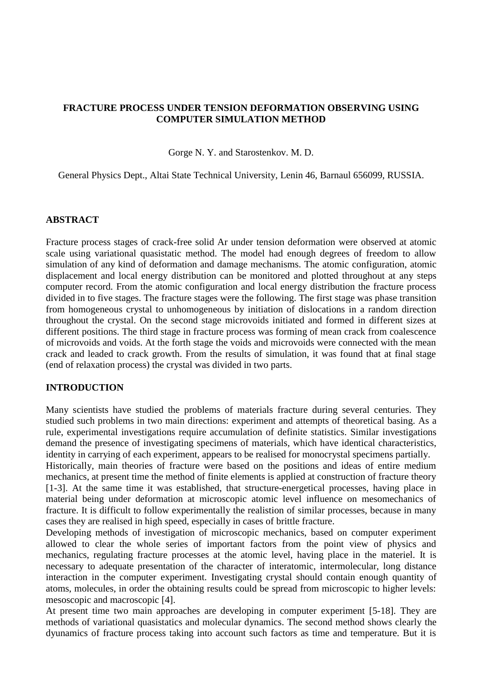### **FRACTURE PROCESS UNDER TENSION DEFORMATION OBSERVING USING COMPUTER SIMULATION METHOD**

Gorge N. Y. and Starostenkov. M. D.

General Physics Dept., Altai State Technical University, Lenin 46, Barnaul 656099, RUSSIA.

#### **ABSTRACT**

Fracture process stages of crack-free solid Ar under tension deformation were observed at atomic scale using variational quasistatic method. The model had enough degrees of freedom to allow simulation of any kind of deformation and damage mechanisms. The atomic configuration, atomic displacement and local energy distribution can be monitored and plotted throughout at any steps computer record. From the atomic configuration and local energy distribution the fracture process divided in to five stages. The fracture stages were the following. The first stage was phase transition from homogeneous crystal to unhomogeneous by initiation of dislocations in a random direction throughout the crystal. On the second stage microvoids initiated and formed in different sizes at different positions. The third stage in fracture process was forming of mean crack from coalescence of microvoids and voids. At the forth stage the voids and microvoids were connected with the mean crack and leaded to crack growth. From the results of simulation, it was found that at final stage (end of relaxation process) the crystal was divided in two parts.

# **INTRODUCTION**

Many scientists have studied the problems of materials fracture during several centuries. They studied such problems in two main directions: experiment and attempts of theoretical basing. As a rule, experimental investigations require accumulation of definite statistics. Similar investigations demand the presence of investigating specimens of materials, which have identical characteristics, identity in carrying of each experiment, appears to be realised for monocrystal specimens partially.

Historically, main theories of fracture were based on the positions and ideas of entire medium mechanics, at present time the method of finite elements is applied at construction of fracture theory [1-3]. At the same time it was established, that structure-energetical processes, having place in material being under deformation at microscopic atomic level influence on mesomechanics of fracture. It is difficult to follow experimentally the realistion of similar processes, because in many cases they are realised in high speed, especially in cases of brittle fracture.

Developing methods of investigation of microscopic mechanics, based on computer experiment allowed to clear the whole series of important factors from the point view of physics and mechanics, regulating fracture processes at the atomic level, having place in the materiel. It is necessary to adequate presentation of the character of interatomic, intermolecular, long distance interaction in the computer experiment. Investigating crystal should contain enough quantity of atoms, molecules, in order the obtaining results could be spread from microscopic to higher levels: mesoscopic and macroscopic [4].

At present time two main approaches are developing in computer experiment [5-18]. They are methods of variational quasistatics and molecular dynamics. The second method shows clearly the dyunamics of fracture process taking into account such factors as time and temperature. But it is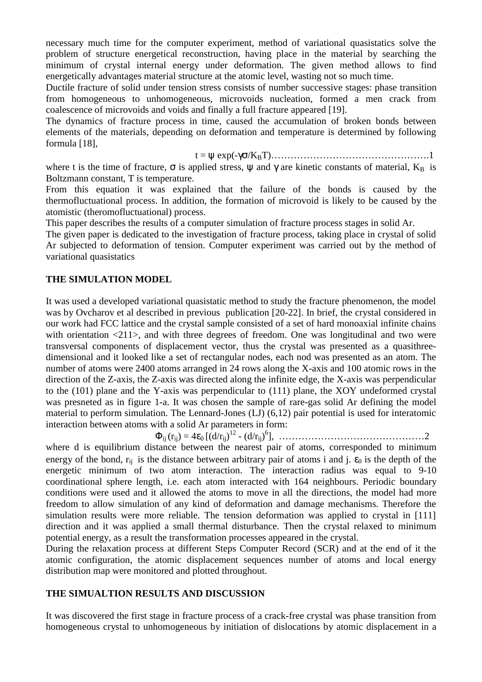necessary much time for the computer experiment, method of variational quasistatics solve the problem of structure energetical reconstruction, having place in the material by searching the minimum of crystal internal energy under deformation. The given method allows to find energetically advantages material structure at the atomic level, wasting not so much time.

Ductile fracture of solid under tension stress consists of number successive stages: phase transition from homogeneous to unhomogeneous, microvoids nucleation, formed a men crack from coalescence of microvoids and voids and finally a full fracture appeared [19].

The dynamics of fracture process in time, caused the accumulation of broken bonds between elements of the materials, depending on deformation and temperature is determined by following formula [18],

t = ψ exp(-γσ/KBT)………………………………………….1

where t is the time of fracture,  $\sigma$  is applied stress,  $\psi$  and  $\gamma$  are kinetic constants of material,  $K_B$  is Boltzmann constant, T is temperature.

From this equation it was explained that the failure of the bonds is caused by the thermofluctuational process. In addition, the formation of microvoid is likely to be caused by the atomistic (theromofluctuational) process.

This paper describes the results of a computer simulation of fracture process stages in solid Ar.

The given paper is dedicated to the investigation of fracture process, taking place in crystal of solid Ar subjected to deformation of tension. Computer experiment was carried out by the method of variational quasistatics

# **THE SIMULATION MODEL**

It was used a developed variational quasistatic method to study the fracture phenomenon, the model was by Ovcharov et al described in previous publication [20-22]. In brief, the crystal considered in our work had FCC lattice and the crystal sample consisted of a set of hard monoaxial infinite chains with orientation  $\langle 211 \rangle$ , and with three degrees of freedom. One was longitudinal and two were transversal components of displacement vector, thus the crystal was presented as a quasithreedimensional and it looked like a set of rectangular nodes, each nod was presented as an atom. The number of atoms were 2400 atoms arranged in 24 rows along the X-axis and 100 atomic rows in the direction of the Z-axis, the Z-axis was directed along the infinite edge, the X-axis was perpendicular to the (101) plane and the Y-axis was perpendicular to (111) plane, the XOY undeformed crystal was presneted as in figure 1-a. It was chosen the sample of rare-gas solid Ar defining the model material to perform simulation. The Lennard-Jones (LJ) (6,12) pair potential is used for interatomic interaction between atoms with a solid Ar parameters in form:

Φij (rij) = 4ε0 [(d/rij) 12 - (d/rij) 6 ], ………………………………………2

where d is equilibrium distance between the nearest pair of atoms, corresponded to minimum energy of the bond,  $r_{ii}$  is the distance between arbitrary pair of atoms i and j.  $\varepsilon_0$  is the depth of the energetic minimum of two atom interaction. The interaction radius was equal to 9-10 coordinational sphere length, i.e. each atom interacted with 164 neighbours. Periodic boundary conditions were used and it allowed the atoms to move in all the directions, the model had more freedom to allow simulation of any kind of deformation and damage mechanisms. Therefore the simulation results were more reliable. The tension deformation was applied to crystal in [111] direction and it was applied a small thermal disturbance. Then the crystal relaxed to minimum potential energy, as a result the transformation processes appeared in the crystal.

During the relaxation process at different Steps Computer Record (SCR) and at the end of it the atomic configuration, the atomic displacement sequences number of atoms and local energy distribution map were monitored and plotted throughout.

### **THE SIMUALTION RESULTS AND DISCUSSION**

It was discovered the first stage in fracture process of a crack-free crystal was phase transition from homogeneous crystal to unhomogeneous by initiation of dislocations by atomic displacement in a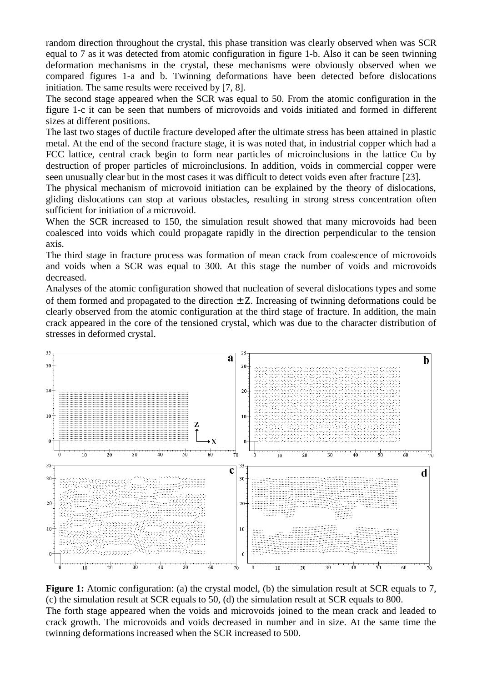random direction throughout the crystal, this phase transition was clearly observed when was SCR equal to 7 as it was detected from atomic configuration in figure 1-b. Also it can be seen twinning deformation mechanisms in the crystal, these mechanisms were obviously observed when we compared figures 1-a and b. Twinning deformations have been detected before dislocations initiation. The same results were received by [7, 8].

The second stage appeared when the SCR was equal to 50. From the atomic configuration in the figure 1-c it can be seen that numbers of microvoids and voids initiated and formed in different sizes at different positions.

The last two stages of ductile fracture developed after the ultimate stress has been attained in plastic metal. At the end of the second fracture stage, it is was noted that, in industrial copper which had a FCC lattice, central crack begin to form near particles of microinclusions in the lattice Cu by destruction of proper particles of microinclusions. In addition, voids in commercial copper were seen unusually clear but in the most cases it was difficult to detect voids even after fracture [23].

The physical mechanism of microvoid initiation can be explained by the theory of dislocations, gliding dislocations can stop at various obstacles, resulting in strong stress concentration often sufficient for initiation of a microvoid.

When the SCR increased to 150, the simulation result showed that many microvoids had been coalesced into voids which could propagate rapidly in the direction perpendicular to the tension axis.

The third stage in fracture process was formation of mean crack from coalescence of microvoids and voids when a SCR was equal to 300. At this stage the number of voids and microvoids decreased.

Analyses of the atomic configuration showed that nucleation of several dislocations types and some of them formed and propagated to the direction  $\pm Z$ . Increasing of twinning deformations could be clearly observed from the atomic configuration at the third stage of fracture. In addition, the main crack appeared in the core of the tensioned crystal, which was due to the character distribution of stresses in deformed crystal.



**Figure 1:** Atomic configuration: (a) the crystal model, (b) the simulation result at SCR equals to 7, (c) the simulation result at SCR equals to 50, (d) the simulation result at SCR equals to 800. The forth stage appeared when the voids and microvoids joined to the mean crack and leaded to crack growth. The microvoids and voids decreased in number and in size. At the same time the twinning deformations increased when the SCR increased to 500.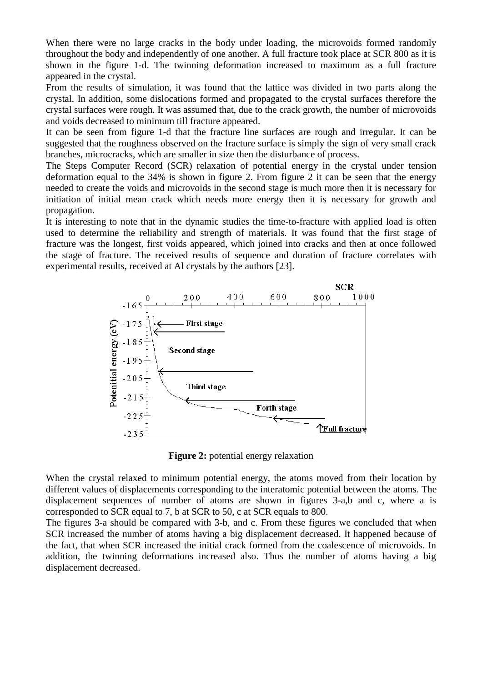When there were no large cracks in the body under loading, the microvoids formed randomly throughout the body and independently of one another. A full fracture took place at SCR 800 as it is shown in the figure 1-d. The twinning deformation increased to maximum as a full fracture appeared in the crystal.

From the results of simulation, it was found that the lattice was divided in two parts along the crystal. In addition, some dislocations formed and propagated to the crystal surfaces therefore the crystal surfaces were rough. It was assumed that, due to the crack growth, the number of microvoids and voids decreased to minimum till fracture appeared.

It can be seen from figure 1-d that the fracture line surfaces are rough and irregular. It can be suggested that the roughness observed on the fracture surface is simply the sign of very small crack branches, microcracks, which are smaller in size then the disturbance of process.

The Steps Computer Record (SCR) relaxation of potential energy in the crystal under tension deformation equal to the 34% is shown in figure 2. From figure 2 it can be seen that the energy needed to create the voids and microvoids in the second stage is much more then it is necessary for initiation of initial mean crack which needs more energy then it is necessary for growth and propagation.

It is interesting to note that in the dynamic studies the time-to-fracture with applied load is often used to determine the reliability and strength of materials. It was found that the first stage of fracture was the longest, first voids appeared, which joined into cracks and then at once followed the stage of fracture. The received results of sequence and duration of fracture correlates with experimental results, received at Al crystals by the authors [23].



**Figure 2:** potential energy relaxation

When the crystal relaxed to minimum potential energy, the atoms moved from their location by different values of displacements corresponding to the interatomic potential between the atoms. The displacement sequences of number of atoms are shown in figures 3-a,b and c, where a is corresponded to SCR equal to 7, b at SCR to 50, c at SCR equals to 800.

The figures 3-a should be compared with 3-b, and c. From these figures we concluded that when SCR increased the number of atoms having a big displacement decreased. It happened because of the fact, that when SCR increased the initial crack formed from the coalescence of microvoids. In addition, the twinning deformations increased also. Thus the number of atoms having a big displacement decreased.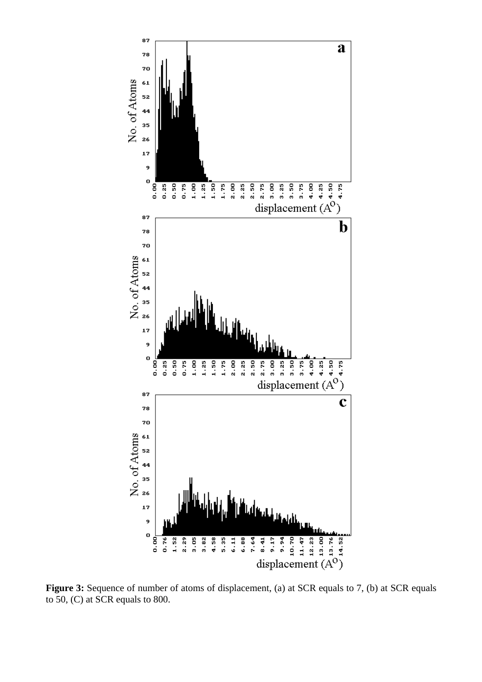

**Figure 3:** Sequence of number of atoms of displacement, (a) at SCR equals to 7, (b) at SCR equals to 50, (C) at SCR equals to 800.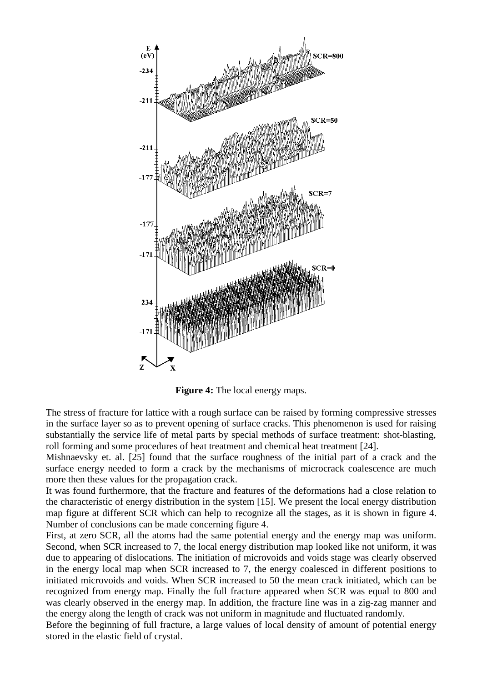

**Figure 4:** The local energy maps.

The stress of fracture for lattice with a rough surface can be raised by forming compressive stresses in the surface layer so as to prevent opening of surface cracks. This phenomenon is used for raising substantially the service life of metal parts by special methods of surface treatment: shot-blasting, roll forming and some procedures of heat treatment and chemical heat treatment [24].

Mishnaevsky et. al. [25] found that the surface roughness of the initial part of a crack and the surface energy needed to form a crack by the mechanisms of microcrack coalescence are much more then these values for the propagation crack.

It was found furthermore, that the fracture and features of the deformations had a close relation to the characteristic of energy distribution in the system [15]. We present the local energy distribution map figure at different SCR which can help to recognize all the stages, as it is shown in figure 4. Number of conclusions can be made concerning figure 4.

First, at zero SCR, all the atoms had the same potential energy and the energy map was uniform. Second, when SCR increased to 7, the local energy distribution map looked like not uniform, it was due to appearing of dislocations. The initiation of microvoids and voids stage was clearly observed in the energy local map when SCR increased to 7, the energy coalesced in different positions to initiated microvoids and voids. When SCR increased to 50 the mean crack initiated, which can be recognized from energy map. Finally the full fracture appeared when SCR was equal to 800 and was clearly observed in the energy map. In addition, the fracture line was in a zig-zag manner and the energy along the length of crack was not uniform in magnitude and fluctuated randomly.

Before the beginning of full fracture, a large values of local density of amount of potential energy stored in the elastic field of crystal.